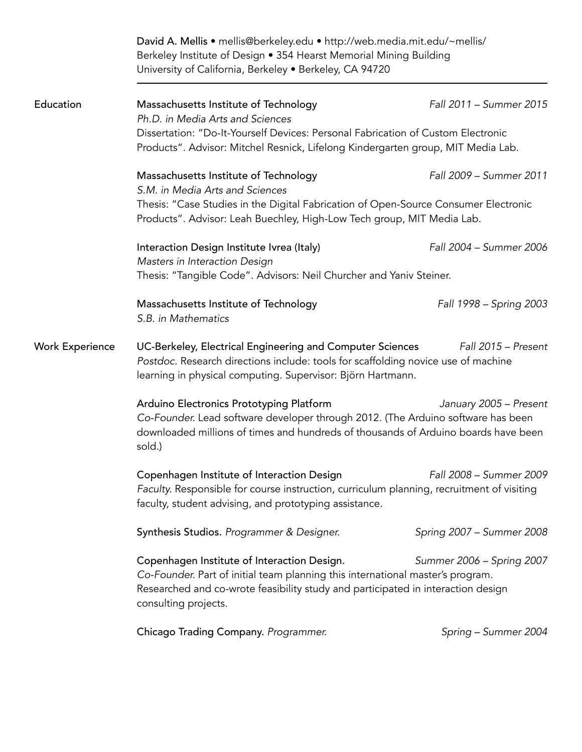|                        | David A. Mellis • mellis@berkeley.edu • http://web.media.mit.edu/~mellis/<br>Berkeley Institute of Design • 354 Hearst Memorial Mining Building<br>University of California, Berkeley . Berkeley, CA 94720                                                             |                           |  |
|------------------------|------------------------------------------------------------------------------------------------------------------------------------------------------------------------------------------------------------------------------------------------------------------------|---------------------------|--|
| Education              | Massachusetts Institute of Technology<br>Ph.D. in Media Arts and Sciences                                                                                                                                                                                              | Fall 2011 - Summer 2015   |  |
|                        | Dissertation: "Do-It-Yourself Devices: Personal Fabrication of Custom Electronic<br>Products". Advisor: Mitchel Resnick, Lifelong Kindergarten group, MIT Media Lab.                                                                                                   |                           |  |
|                        | Massachusetts Institute of Technology<br>S.M. in Media Arts and Sciences                                                                                                                                                                                               | Fall 2009 - Summer 2011   |  |
|                        | Thesis: "Case Studies in the Digital Fabrication of Open-Source Consumer Electronic<br>Products". Advisor: Leah Buechley, High-Low Tech group, MIT Media Lab.                                                                                                          |                           |  |
|                        | Interaction Design Institute Ivrea (Italy)<br>Masters in Interaction Design                                                                                                                                                                                            | Fall 2004 - Summer 2006   |  |
|                        | Thesis: "Tangible Code". Advisors: Neil Churcher and Yaniv Steiner.                                                                                                                                                                                                    |                           |  |
|                        | Massachusetts Institute of Technology<br>S.B. in Mathematics                                                                                                                                                                                                           | Fall 1998 – Spring 2003   |  |
| <b>Work Experience</b> | Fall 2015 - Present<br>UC-Berkeley, Electrical Engineering and Computer Sciences<br>Postdoc. Research directions include: tools for scaffolding novice use of machine<br>learning in physical computing. Supervisor: Björn Hartmann.                                   |                           |  |
|                        | Arduino Electronics Prototyping Platform<br>Co-Founder. Lead software developer through 2012. (The Arduino software has been<br>downloaded millions of times and hundreds of thousands of Arduino boards have been<br>sold.)                                           | January 2005 - Present    |  |
|                        | Copenhagen Institute of Interaction Design<br>Faculty. Responsible for course instruction, curriculum planning, recruitment of visiting<br>faculty, student advising, and prototyping assistance.                                                                      | Fall 2008 - Summer 2009   |  |
|                        | Synthesis Studios. Programmer & Designer.                                                                                                                                                                                                                              | Spring 2007 - Summer 2008 |  |
|                        | Copenhagen Institute of Interaction Design.<br>Summer 2006 - Spring 2007<br>Co-Founder. Part of initial team planning this international master's program.<br>Researched and co-wrote feasibility study and participated in interaction design<br>consulting projects. |                           |  |
|                        | Chicago Trading Company. Programmer.                                                                                                                                                                                                                                   | Spring - Summer 2004      |  |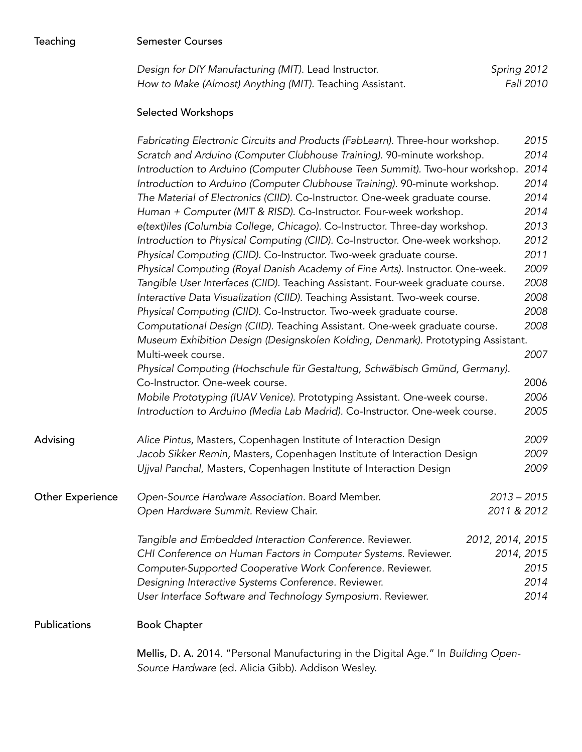| Teaching                | <b>Semester Courses</b>                                                                                                                                                                                                                                                                                                                                                                                                                                                                                                                                                                                                                                                                                                                                                                                                                                                                                                                                                                                                                                                                                                                                                                                                                                                                                          |                                                                                                                      |
|-------------------------|------------------------------------------------------------------------------------------------------------------------------------------------------------------------------------------------------------------------------------------------------------------------------------------------------------------------------------------------------------------------------------------------------------------------------------------------------------------------------------------------------------------------------------------------------------------------------------------------------------------------------------------------------------------------------------------------------------------------------------------------------------------------------------------------------------------------------------------------------------------------------------------------------------------------------------------------------------------------------------------------------------------------------------------------------------------------------------------------------------------------------------------------------------------------------------------------------------------------------------------------------------------------------------------------------------------|----------------------------------------------------------------------------------------------------------------------|
|                         | Design for DIY Manufacturing (MIT). Lead Instructor.<br>How to Make (Almost) Anything (MIT). Teaching Assistant.                                                                                                                                                                                                                                                                                                                                                                                                                                                                                                                                                                                                                                                                                                                                                                                                                                                                                                                                                                                                                                                                                                                                                                                                 | Spring 2012<br>Fall 2010                                                                                             |
|                         | <b>Selected Workshops</b>                                                                                                                                                                                                                                                                                                                                                                                                                                                                                                                                                                                                                                                                                                                                                                                                                                                                                                                                                                                                                                                                                                                                                                                                                                                                                        |                                                                                                                      |
|                         | Fabricating Electronic Circuits and Products (FabLearn). Three-hour workshop.<br>Scratch and Arduino (Computer Clubhouse Training). 90-minute workshop.<br>Introduction to Arduino (Computer Clubhouse Teen Summit). Two-hour workshop.<br>Introduction to Arduino (Computer Clubhouse Training). 90-minute workshop.<br>The Material of Electronics (CIID). Co-Instructor. One-week graduate course.<br>Human + Computer (MIT & RISD). Co-Instructor. Four-week workshop.<br>e(text)iles (Columbia College, Chicago). Co-Instructor. Three-day workshop.<br>Introduction to Physical Computing (CIID). Co-Instructor. One-week workshop.<br>Physical Computing (CIID). Co-Instructor. Two-week graduate course.<br>Physical Computing (Royal Danish Academy of Fine Arts). Instructor. One-week.<br>Tangible User Interfaces (CIID). Teaching Assistant. Four-week graduate course.<br>Interactive Data Visualization (CIID). Teaching Assistant. Two-week course.<br>Physical Computing (CIID). Co-Instructor. Two-week graduate course.<br>Computational Design (CIID). Teaching Assistant. One-week graduate course.<br>Museum Exhibition Design (Designskolen Kolding, Denmark). Prototyping Assistant.<br>Multi-week course.<br>Physical Computing (Hochschule für Gestaltung, Schwäbisch Gmünd, Germany). | 2015<br>2014<br>2014<br>2014<br>2014<br>2014<br>2013<br>2012<br>2011<br>2009<br>2008<br>2008<br>2008<br>2008<br>2007 |
|                         | Co-Instructor. One-week course.<br>Mobile Prototyping (IUAV Venice). Prototyping Assistant. One-week course.<br>Introduction to Arduino (Media Lab Madrid). Co-Instructor. One-week course.                                                                                                                                                                                                                                                                                                                                                                                                                                                                                                                                                                                                                                                                                                                                                                                                                                                                                                                                                                                                                                                                                                                      | 2006<br>2006<br>2005                                                                                                 |
| Advising                | Alice Pintus, Masters, Copenhagen Institute of Interaction Design<br>Jacob Sikker Remin, Masters, Copenhagen Institute of Interaction Design<br>Ujjval Panchal, Masters, Copenhagen Institute of Interaction Design                                                                                                                                                                                                                                                                                                                                                                                                                                                                                                                                                                                                                                                                                                                                                                                                                                                                                                                                                                                                                                                                                              | 2009<br>2009<br>2009                                                                                                 |
| <b>Other Experience</b> | Open-Source Hardware Association. Board Member.<br>Open Hardware Summit. Review Chair.                                                                                                                                                                                                                                                                                                                                                                                                                                                                                                                                                                                                                                                                                                                                                                                                                                                                                                                                                                                                                                                                                                                                                                                                                           | $2013 - 2015$<br>2011 & 2012                                                                                         |
|                         | Tangible and Embedded Interaction Conference. Reviewer.<br>CHI Conference on Human Factors in Computer Systems. Reviewer.<br>Computer-Supported Cooperative Work Conference. Reviewer.<br>Designing Interactive Systems Conference. Reviewer.<br>User Interface Software and Technology Symposium. Reviewer.                                                                                                                                                                                                                                                                                                                                                                                                                                                                                                                                                                                                                                                                                                                                                                                                                                                                                                                                                                                                     | 2012, 2014, 2015<br>2014, 2015<br>2015<br>2014<br>2014                                                               |
| Publications            | <b>Book Chapter</b>                                                                                                                                                                                                                                                                                                                                                                                                                                                                                                                                                                                                                                                                                                                                                                                                                                                                                                                                                                                                                                                                                                                                                                                                                                                                                              |                                                                                                                      |
|                         | Mellis, D. A. 2014. "Personal Manufacturing in the Digital Age." In Building Open-<br>Source Hardware (ed. Alicia Gibb). Addison Wesley.                                                                                                                                                                                                                                                                                                                                                                                                                                                                                                                                                                                                                                                                                                                                                                                                                                                                                                                                                                                                                                                                                                                                                                         |                                                                                                                      |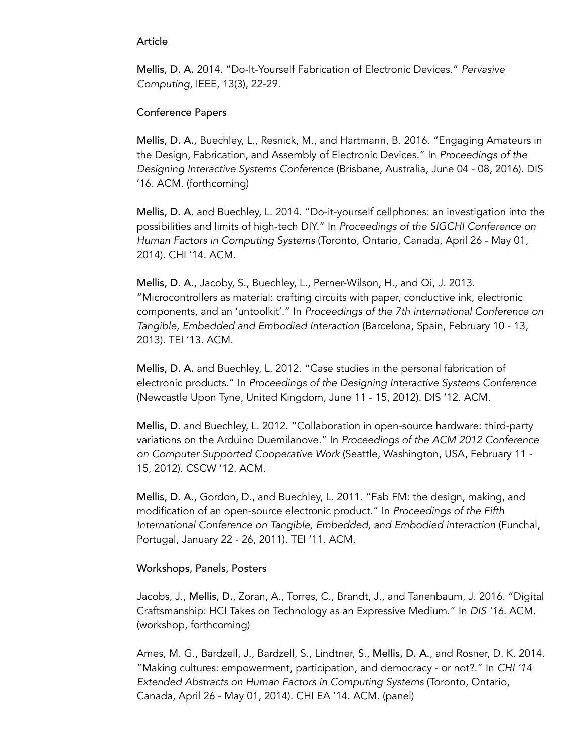## Article

Mellis, D. A. 2014. "Do-It-Yourself Fabrication of Electronic Devices." *Pervasive Computing*, IEEE, 13(3), 22-29.

## Conference Papers

Mellis, D. A., Buechley, L., Resnick, M., and Hartmann, B. 2016. "Engaging Amateurs in the Design, Fabrication, and Assembly of Electronic Devices." In *Proceedings of the Designing Interactive Systems Conference* (Brisbane, Australia, June 04 - 08, 2016). DIS '16. ACM. (forthcoming)

Mellis, D. A. and Buechley, L. 2014. "Do-it-yourself cellphones: an investigation into the possibilities and limits of high-tech DIY." In *Proceedings of the SIGCHI Conference on Human Factors in Computing Systems* (Toronto, Ontario, Canada, April 26 - May 01, 2014). CHI '14. ACM.

Mellis, D. A., Jacoby, S., Buechley, L., Perner-Wilson, H., and Qi, J. 2013. "Microcontrollers as material: crafting circuits with paper, conductive ink, electronic components, and an 'untoolkit'." In *Proceedings of the 7th international Conference on Tangible, Embedded and Embodied Interaction* (Barcelona, Spain, February 10 - 13, 2013). TEI '13. ACM.

Mellis, D. A. and Buechley, L. 2012. "Case studies in the personal fabrication of electronic products." In *Proceedings of the Designing Interactive Systems Conference* (Newcastle Upon Tyne, United Kingdom, June 11 - 15, 2012). DIS '12. ACM.

Mellis, D. and Buechley, L. 2012. "Collaboration in open-source hardware: third-party variations on the Arduino Duemilanove." In *Proceedings of the ACM 2012 Conference on Computer Supported Cooperative Work* (Seattle, Washington, USA, February 11 - 15, 2012). CSCW '12. ACM.

Mellis, D. A., Gordon, D., and Buechley, L. 2011. "Fab FM: the design, making, and modification of an open-source electronic product." In *Proceedings of the Fifth International Conference on Tangible, Embedded, and Embodied interaction* (Funchal, Portugal, January 22 - 26, 2011). TEI '11. ACM.

## Workshops, Panels, Posters

Jacobs, J., Mellis, D., Zoran, A., Torres, C., Brandt, J., and Tanenbaum, J. 2016. "Digital Craftsmanship: HCI Takes on Technology as an Expressive Medium." In *DIS '16.* ACM. (workshop, forthcoming)

Ames, M. G., Bardzell, J., Bardzell, S., Lindtner, S., Mellis, D. A., and Rosner, D. K. 2014. "Making cultures: empowerment, participation, and democracy - or not?." In *CHI '14 Extended Abstracts on Human Factors in Computing Systems* (Toronto, Ontario, Canada, April 26 - May 01, 2014). CHI EA '14. ACM. (panel)